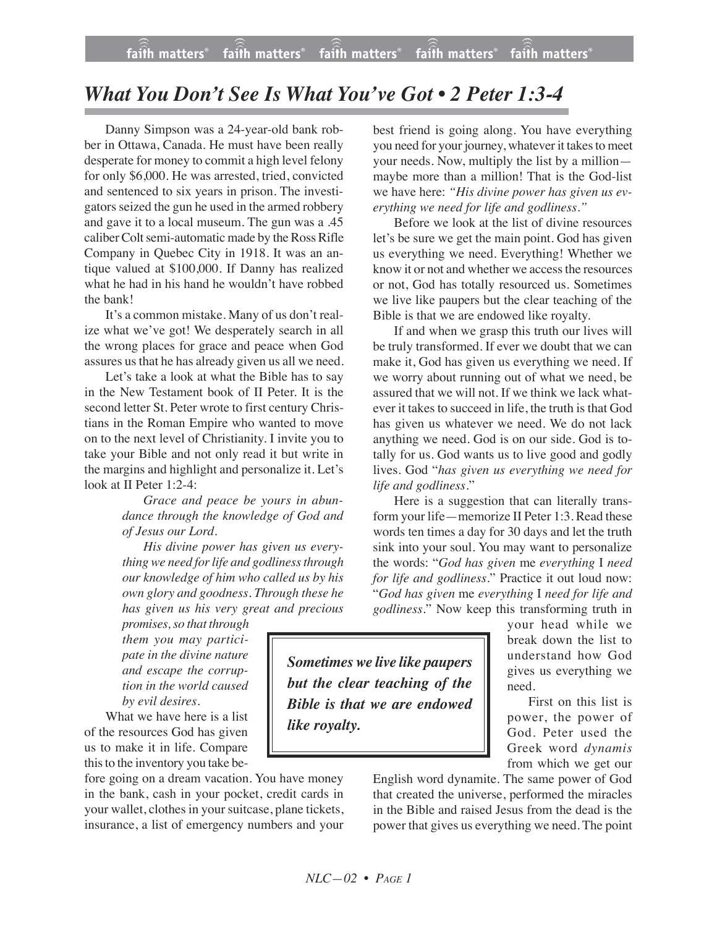and sentenced to six years in prison. The investigators seized the gun he used in the armed robbery and gave it to a local museum. The gun was a .45 caliber Colt semi-automatic made by the Ross Rifle Company in Quebec City in 1918. It was an antique valued at \$100,000. If Danny has realized what he had in his hand he wouldn't have robbed the bank!

Danny Simpson was a 24-year-old bank robber in Ottawa, Canada. He must have been really desperate for money to commit a high level felony for only \$6,000. He was arrested, tried, convicted

It's a common mistake. Many of us don't realize what we've got! We desperately search in all the wrong places for grace and peace when God assures us that he has already given us all we need.

Let's take a look at what the Bible has to say in the New Testament book of II Peter. It is the second letter St. Peter wrote to first century Christians in the Roman Empire who wanted to move on to the next level of Christianity. I invite you to take your Bible and not only read it but write in the margins and highlight and personalize it. Let's look at II Peter 1:2-4:

> *Grace and peace be yours in abundance through the knowledge of God and of Jesus our Lord.*

> *His divine power has given us everything we need for life and godliness through our knowledge of him who called us by his own glory and goodness. Through these he has given us his very great and precious*

*promises, so that through them you may participate in the divine nature and escape the corruption in the world caused by evil desires.*

What we have here is a list of the resources God has given us to make it in life. Compare this to the inventory you take be-

fore going on a dream vacation. You have money in the bank, cash in your pocket, credit cards in your wallet, clothes in your suitcase, plane tickets, insurance, a list of emergency numbers and your

best friend is going along. You have everything you need for your journey, whatever it takes to meet your needs. Now, multiply the list by a million maybe more than a million! That is the God-list we have here: *"His divine power has given us everything we need for life and godliness."*

Before we look at the list of divine resources let's be sure we get the main point. God has given us everything we need. Everything! Whether we know it or not and whether we access the resources or not, God has totally resourced us. Sometimes we live like paupers but the clear teaching of the Bible is that we are endowed like royalty.

If and when we grasp this truth our lives will be truly transformed. If ever we doubt that we can make it, God has given us everything we need. If we worry about running out of what we need, be assured that we will not. If we think we lack whatever it takes to succeed in life, the truth is that God has given us whatever we need. We do not lack anything we need. God is on our side. God is totally for us. God wants us to live good and godly lives. God "*has given us everything we need for life and godliness*."

Here is a suggestion that can literally transform your life—memorize II Peter 1:3. Read these words ten times a day for 30 days and let the truth sink into your soul. You may want to personalize the words: "*God has given* me *everything* I *need for life and godliness*." Practice it out loud now: "*God has given* me *everything* I *need for life and godliness*." Now keep this transforming truth in

> your head while we break down the list to understand how God gives us everything we need.

First on this list is power, the power of God. Peter used the Greek word *dynamis* from which we get our

English word dynamite. The same power of God that created the universe, performed the miracles in the Bible and raised Jesus from the dead is the power that gives us everything we need. The point

*Sometimes we live like paupers but the clear teaching of the Bible is that we are endowed like royalty.*

*What You Don't See Is What You've Got • 2 Peter 1:3-4*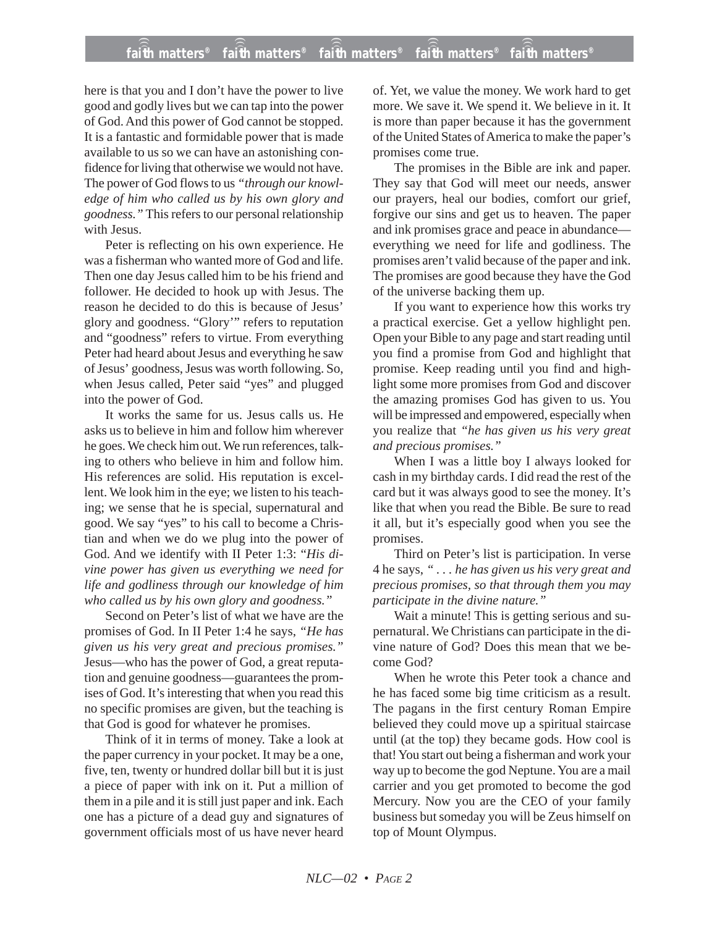## **faith matters® faith matters® faith matters® faith matters® faith matters®** ))) ))) ))) ))) )))

here is that you and I don't have the power to live good and godly lives but we can tap into the power of God. And this power of God cannot be stopped. It is a fantastic and formidable power that is made available to us so we can have an astonishing confidence for living that otherwise we would not have. The power of God flows to us *"through our knowledge of him who called us by his own glory and goodness."* This refers to our personal relationship with Jesus.

Peter is reflecting on his own experience. He was a fisherman who wanted more of God and life. Then one day Jesus called him to be his friend and follower. He decided to hook up with Jesus. The reason he decided to do this is because of Jesus' glory and goodness. "Glory'" refers to reputation and "goodness" refers to virtue. From everything Peter had heard about Jesus and everything he saw of Jesus' goodness, Jesus was worth following. So, when Jesus called, Peter said "yes" and plugged into the power of God.

It works the same for us. Jesus calls us. He asks us to believe in him and follow him wherever he goes. We check him out. We run references, talking to others who believe in him and follow him. His references are solid. His reputation is excellent. We look him in the eye; we listen to his teaching; we sense that he is special, supernatural and good. We say "yes" to his call to become a Christian and when we do we plug into the power of God. And we identify with II Peter 1:3: "*His divine power has given us everything we need for life and godliness through our knowledge of him who called us by his own glory and goodness."*

Second on Peter's list of what we have are the promises of God. In II Peter 1:4 he says, *"He has given us his very great and precious promises."* Jesus—who has the power of God, a great reputation and genuine goodness—guarantees the promises of God. It's interesting that when you read this no specific promises are given, but the teaching is that God is good for whatever he promises.

Think of it in terms of money. Take a look at the paper currency in your pocket. It may be a one, five, ten, twenty or hundred dollar bill but it is just a piece of paper with ink on it. Put a million of them in a pile and it is still just paper and ink. Each one has a picture of a dead guy and signatures of government officials most of us have never heard

of. Yet, we value the money. We work hard to get more. We save it. We spend it. We believe in it. It is more than paper because it has the government of the United States of America to make the paper's promises come true.

The promises in the Bible are ink and paper. They say that God will meet our needs, answer our prayers, heal our bodies, comfort our grief, forgive our sins and get us to heaven. The paper and ink promises grace and peace in abundance everything we need for life and godliness. The promises aren't valid because of the paper and ink. The promises are good because they have the God of the universe backing them up.

If you want to experience how this works try a practical exercise. Get a yellow highlight pen. Open your Bible to any page and start reading until you find a promise from God and highlight that promise. Keep reading until you find and highlight some more promises from God and discover the amazing promises God has given to us. You will be impressed and empowered, especially when you realize that *"he has given us his very great and precious promises."*

When I was a little boy I always looked for cash in my birthday cards. I did read the rest of the card but it was always good to see the money. It's like that when you read the Bible. Be sure to read it all, but it's especially good when you see the promises.

Third on Peter's list is participation. In verse 4 he says, *" . . . he has given us his very great and precious promises, so that through them you may participate in the divine nature."*

Wait a minute! This is getting serious and supernatural. We Christians can participate in the divine nature of God? Does this mean that we become God?

When he wrote this Peter took a chance and he has faced some big time criticism as a result. The pagans in the first century Roman Empire believed they could move up a spiritual staircase until (at the top) they became gods. How cool is that! You start out being a fisherman and work your way up to become the god Neptune. You are a mail carrier and you get promoted to become the god Mercury. Now you are the CEO of your family business but someday you will be Zeus himself on top of Mount Olympus.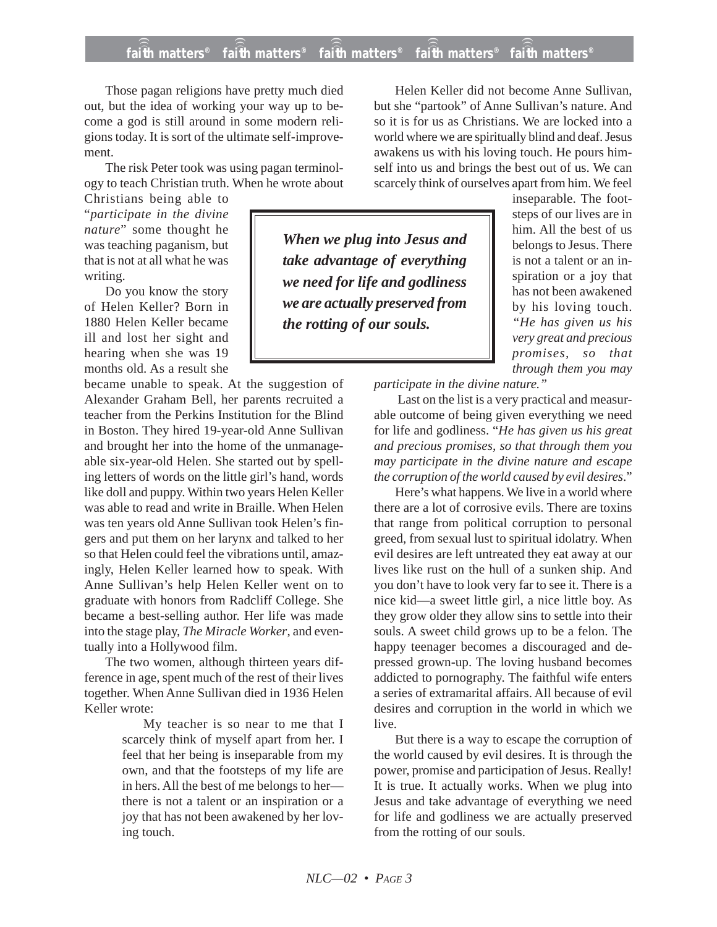## **faith matters® faith matters® faith matters® faith matters® faith matters®** ))) ))) ))) ))) )))

Those pagan religions have pretty much died out, but the idea of working your way up to become a god is still around in some modern religions today. It is sort of the ultimate self-improvement.

The risk Peter took was using pagan terminology to teach Christian truth. When he wrote about

Christians being able to "*participate in the divine nature*" some thought he was teaching paganism, but that is not at all what he was writing.

Do you know the story of Helen Keller? Born in 1880 Helen Keller became ill and lost her sight and hearing when she was 19 months old. As a result she

became unable to speak. At the suggestion of Alexander Graham Bell, her parents recruited a teacher from the Perkins Institution for the Blind in Boston. They hired 19-year-old Anne Sullivan and brought her into the home of the unmanageable six-year-old Helen. She started out by spelling letters of words on the little girl's hand, words like doll and puppy. Within two years Helen Keller was able to read and write in Braille. When Helen was ten years old Anne Sullivan took Helen's fingers and put them on her larynx and talked to her so that Helen could feel the vibrations until, amazingly, Helen Keller learned how to speak. With Anne Sullivan's help Helen Keller went on to graduate with honors from Radcliff College. She became a best-selling author. Her life was made into the stage play, *The Miracle Worker*, and eventually into a Hollywood film.

The two women, although thirteen years difference in age, spent much of the rest of their lives together. When Anne Sullivan died in 1936 Helen Keller wrote:

> My teacher is so near to me that I scarcely think of myself apart from her. I feel that her being is inseparable from my own, and that the footsteps of my life are in hers. All the best of me belongs to her there is not a talent or an inspiration or a joy that has not been awakened by her loving touch.

Helen Keller did not become Anne Sullivan, but she "partook" of Anne Sullivan's nature. And so it is for us as Christians. We are locked into a world where we are spiritually blind and deaf. Jesus awakens us with his loving touch. He pours himself into us and brings the best out of us. We can scarcely think of ourselves apart from him. We feel

*When we plug into Jesus and take advantage of everything we need for life and godliness we are actually preserved from the rotting of our souls.*

him. All the best of us belongs to Jesus. There is not a talent or an inspiration or a joy that has not been awakened by his loving touch. *"He has given us his very great and precious promises, so that through them you may*

inseparable. The footsteps of our lives are in

*participate in the divine nature."*

Last on the list is a very practical and measurable outcome of being given everything we need for life and godliness. "*He has given us his great and precious promises, so that through them you may participate in the divine nature and escape the corruption of the world caused by evil desires*."

Here's what happens. We live in a world where there are a lot of corrosive evils. There are toxins that range from political corruption to personal greed, from sexual lust to spiritual idolatry. When evil desires are left untreated they eat away at our lives like rust on the hull of a sunken ship. And you don't have to look very far to see it. There is a nice kid—a sweet little girl, a nice little boy. As they grow older they allow sins to settle into their souls. A sweet child grows up to be a felon. The happy teenager becomes a discouraged and depressed grown-up. The loving husband becomes addicted to pornography. The faithful wife enters a series of extramarital affairs. All because of evil desires and corruption in the world in which we live.

But there is a way to escape the corruption of the world caused by evil desires. It is through the power, promise and participation of Jesus. Really! It is true. It actually works. When we plug into Jesus and take advantage of everything we need for life and godliness we are actually preserved from the rotting of our souls.